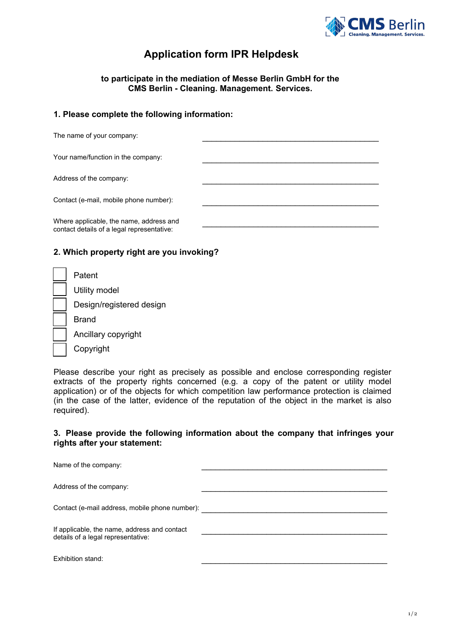

## **Application form IPR Helpdesk**

**to participate in the mediation of Messe Berlin GmbH for the CMS Berlin** - Cleaning. Management. Services.

## 1. **Please complete the following information:**

| The name of your company:                                                             |  |
|---------------------------------------------------------------------------------------|--|
| Your name/function in the company:                                                    |  |
| Address of the company:                                                               |  |
| Contact (e-mail, mobile phone number):                                                |  |
| Where applicable, the name, address and<br>contact details of a legal representative: |  |

## 2. **Which property right are you invoking?**

| Patent                   |
|--------------------------|
| Utility model            |
| Design/registered design |
| Brand                    |
| Ancillary copyright      |
| Copyright                |

Please describe your right as precisely as possible and enclose corresponding register extracts of the property rights concerned (e.g. a copy of the patent or utility model application) or of the objects for which competition law performance protection is claimed (in the case of the latter, evidence of the reputation of the object in the market is also required).

## 3. **Please provide the following information about the company that infringes your rights after your statement:**

| Name of the company:                                                               |  |
|------------------------------------------------------------------------------------|--|
| Address of the company:                                                            |  |
| Contact (e-mail address, mobile phone number):                                     |  |
| If applicable, the name, address and contact<br>details of a legal representative: |  |
| Exhibition stand:                                                                  |  |